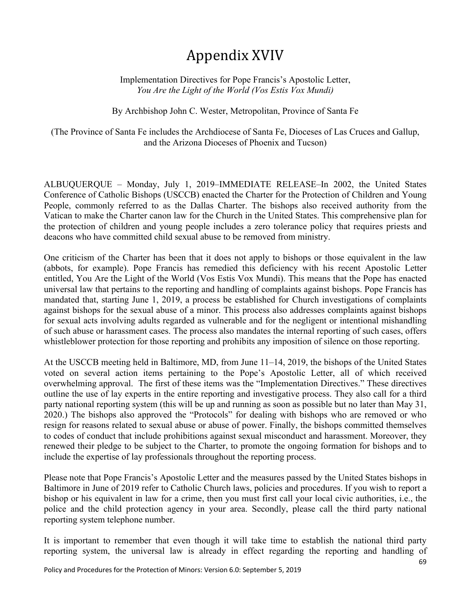## Appendix XVIV

Implementation Directives for Pope Francis's Apostolic Letter, *You Are the Light of the World (Vos Estis Vox Mundi)*

By Archbishop John C. Wester, Metropolitan, Province of Santa Fe

(The Province of Santa Fe includes the Archdiocese of Santa Fe, Dioceses of Las Cruces and Gallup, and the Arizona Dioceses of Phoenix and Tucson)

ALBUQUERQUE – Monday, July 1, 2019–IMMEDIATE RELEASE–In 2002, the United States Conference of Catholic Bishops (USCCB) enacted the Charter for the Protection of Children and Young People, commonly referred to as the Dallas Charter. The bishops also received authority from the Vatican to make the Charter canon law for the Church in the United States. This comprehensive plan for the protection of children and young people includes a zero tolerance policy that requires priests and deacons who have committed child sexual abuse to be removed from ministry.

One criticism of the Charter has been that it does not apply to bishops or those equivalent in the law (abbots, for example). Pope Francis has remedied this deficiency with his recent Apostolic Letter entitled, You Are the Light of the World (Vos Estis Vox Mundi). This means that the Pope has enacted universal law that pertains to the reporting and handling of complaints against bishops. Pope Francis has mandated that, starting June 1, 2019, a process be established for Church investigations of complaints against bishops for the sexual abuse of a minor. This process also addresses complaints against bishops for sexual acts involving adults regarded as vulnerable and for the negligent or intentional mishandling of such abuse or harassment cases. The process also mandates the internal reporting of such cases, offers whistleblower protection for those reporting and prohibits any imposition of silence on those reporting.

At the USCCB meeting held in Baltimore, MD, from June 11–14, 2019, the bishops of the United States voted on several action items pertaining to the Pope's Apostolic Letter, all of which received overwhelming approval. The first of these items was the "Implementation Directives." These directives outline the use of lay experts in the entire reporting and investigative process. They also call for a third party national reporting system (this will be up and running as soon as possible but no later than May 31, 2020.) The bishops also approved the "Protocols" for dealing with bishops who are removed or who resign for reasons related to sexual abuse or abuse of power. Finally, the bishops committed themselves to codes of conduct that include prohibitions against sexual misconduct and harassment. Moreover, they renewed their pledge to be subject to the Charter, to promote the ongoing formation for bishops and to include the expertise of lay professionals throughout the reporting process.

Please note that Pope Francis's Apostolic Letter and the measures passed by the United States bishops in Baltimore in June of 2019 refer to Catholic Church laws, policies and procedures. If you wish to report a bishop or his equivalent in law for a crime, then you must first call your local civic authorities, i.e., the police and the child protection agency in your area. Secondly, please call the third party national reporting system telephone number.

It is important to remember that even though it will take time to establish the national third party reporting system, the universal law is already in effect regarding the reporting and handling of